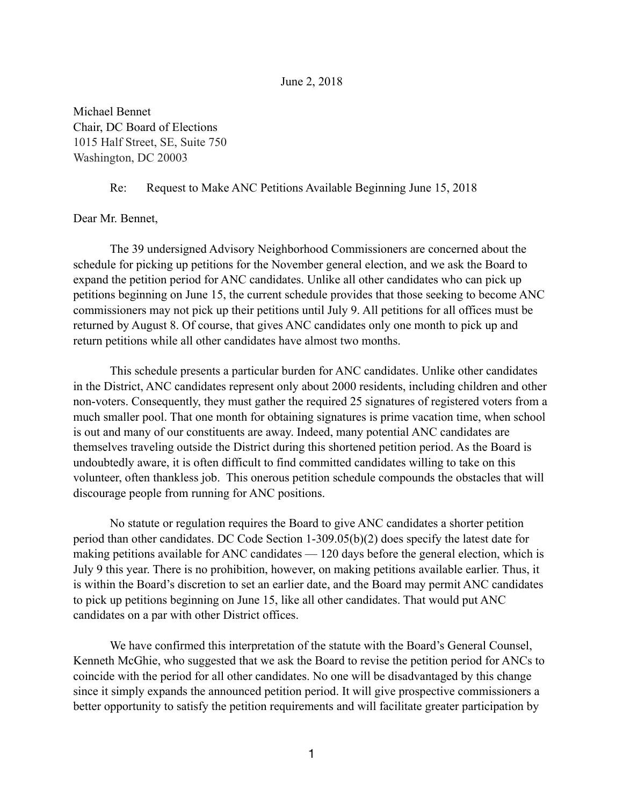## June 2, 2018

Michael Bennet Chair, DC Board of Elections 1015 Half Street, SE, Suite 750 Washington, DC 20003

## Re: Request to Make ANC Petitions Available Beginning June 15, 2018

## Dear Mr. Bennet,

 The 39 undersigned Advisory Neighborhood Commissioners are concerned about the schedule for picking up petitions for the November general election, and we ask the Board to expand the petition period for ANC candidates. Unlike all other candidates who can pick up petitions beginning on June 15, the current schedule provides that those seeking to become ANC commissioners may not pick up their petitions until July 9. All petitions for all offices must be returned by August 8. Of course, that gives ANC candidates only one month to pick up and return petitions while all other candidates have almost two months.

 This schedule presents a particular burden for ANC candidates. Unlike other candidates in the District, ANC candidates represent only about 2000 residents, including children and other non-voters. Consequently, they must gather the required 25 signatures of registered voters from a much smaller pool. That one month for obtaining signatures is prime vacation time, when school is out and many of our constituents are away. Indeed, many potential ANC candidates are themselves traveling outside the District during this shortened petition period. As the Board is undoubtedly aware, it is often difficult to find committed candidates willing to take on this volunteer, often thankless job. This onerous petition schedule compounds the obstacles that will discourage people from running for ANC positions.

 No statute or regulation requires the Board to give ANC candidates a shorter petition period than other candidates. DC Code Section 1-309.05(b)(2) does specify the latest date for making petitions available for ANC candidates — 120 days before the general election, which is July 9 this year. There is no prohibition, however, on making petitions available earlier. Thus, it is within the Board's discretion to set an earlier date, and the Board may permit ANC candidates to pick up petitions beginning on June 15, like all other candidates. That would put ANC candidates on a par with other District offices.

 We have confirmed this interpretation of the statute with the Board's General Counsel, Kenneth McGhie, who suggested that we ask the Board to revise the petition period for ANCs to coincide with the period for all other candidates. No one will be disadvantaged by this change since it simply expands the announced petition period. It will give prospective commissioners a better opportunity to satisfy the petition requirements and will facilitate greater participation by